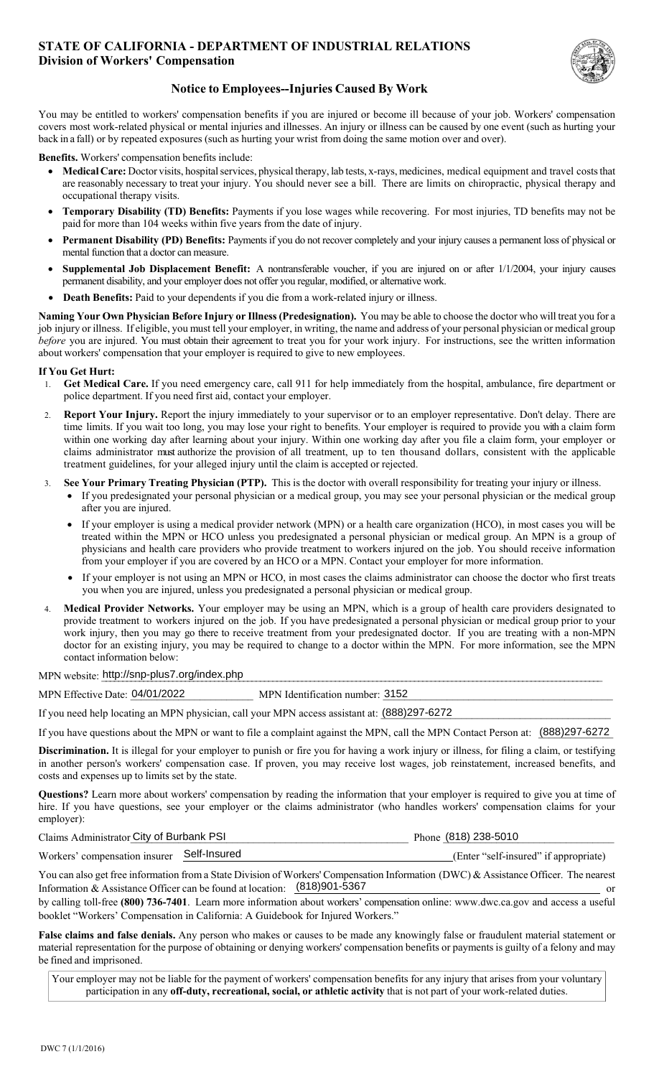### **STATE OF CALIFORNIA - DEPARTMENT OF INDUSTRIAL RELATIONS Division of Workers' Compensation**



# **Notice to Employees--Injuries Caused By Work**

 You may be entitled to workers' compensation benefits if you are injured or become ill because of your job. Workers' compensation covers most work-related physical or mental injuries and illnesses. An injury or illness can be caused by one event (such as hurting your back in a fall) or by repeated exposures (such as hurting your wrist from doing the same motion over and over).

**Benefits.** Workers' compensation benefits include:

- **Medical Care:** Doctor visits, hospital services, physical therapy, lab tests, x-rays, medicines, medical equipment and travel costs that are reasonably necessary to treat your injury. You should never see a bill. There are limits on chiropractic, physical therapy and occupational therapy visits.
- **Temporary Disability (TD) Benefits:** Payments if you lose wages while recovering. For most injuries, TD benefits may not be paid for more than 104 weeks within five years from the date of injury.
- **Permanent Disability (PD) Benefits:** Payments if you do not recover completely and your injury causes a permanent loss of physical or mental function that a doctor can measure.
- **Supplemental Job Displacement Benefit:** A nontransferable voucher, if you are injured on or after 1/1/2004, your injury causes permanent disability, and your employer does not offer you regular, modified, or alternative work.
- **Death Benefits:** Paid to your dependents if you die from a work-related injury or illness.

 **Naming Your Own Physician Before Injury or Illness (Predesignation).** You may be able to choose the doctor who will treat you for a job injury or illness. If eligible, you must tell your employer, in writing, the name and address of your personal physician or medical group *before* you are injured. You must obtain their agreement to treat you for your work injury. For instructions, see the written information about workers' compensation that your employer is required to give to new employees.

#### **If You Get Hurt:**

- 1. **Get Medical Care.** If you need emergency care, call 911 for help immediately from the hospital, ambulance, fire department or police department. If you need first aid, contact your employer.
- 2. **Report Your Injury.** Report the injury immediately to your supervisor or to an employer representative. Don't delay. There are time limits. If you wait too long, you may lose your right to benefits. Your employer is required to provide you with a claim form within one working day after learning about your injury. Within one working day after you file a claim form, your employer or claims administrator must authorize the provision of all treatment, up to ten thousand dollars, consistent with the applicable treatment guidelines, for your alleged injury until the claim is accepted or rejected.
- 3. **See Your Primary Treating Physician (PTP).** This is the doctor with overall responsibility for treating your injury or illness.
	- If you predesignated your personal physician or a medical group, you may see your personal physician or the medical group after you are injured.
	- treated within the MPN or HCO unless you predesignated a personal physician or medical group. An MPN is a group of If your employer is using a medical provider network (MPN) or a health care organization (HCO), in most cases you will be physicians and health care providers who provide treatment to workers injured on the job. You should receive information from your employer if you are covered by an HCO or a MPN. Contact your employer for more information.
	- If your employer is not using an MPN or HCO, in most cases the claims administrator can choose the doctor who first treats you when you are injured, unless you predesignated a personal physician or medical group.
- provide treatment to workers injured on the job. If you have predesignated a personal physician or medical group prior to your 4. **Medical Provider Networks.** Your employer may be using an MPN, which is a group of health care providers designated to work injury, then you may go there to receive treatment from your predesignated doctor. If you are treating with a non-MPN doctor for an existing injury, you may be required to change to a doctor within the MPN. For more information, see the MPN contact information below:

 $\emph{MPN website:}$  http://snp-plus7.org/index.php

MPN Effective Date: 04/01/2022 MPN Identification number: 3152

If you need help locating an MPN physician, call your MPN access assistant at:  $(888)297-6272$ 

If you have questions about the MPN or want to file a complaint against the MPN, call the MPN Contact Person at: (888)297-6272

 **Discrimination.** It is illegal for your employer to punish or fire you for having a work injury or illness, for filing a claim, or testifying in another person's workers' compensation case. If proven, you may receive lost wages, job reinstatement, increased benefits, and costs and expenses up to limits set by the state.

**Questions?** Learn more about workers' compensation by reading the information that your employer is required to give you at time of hire. If you have questions, see your employer or the claims administrator (who handles workers' compensation claims for your employer):

| Claims Administrator City of Burbank PSI   | Phone (818) 238-5010                  |
|--------------------------------------------|---------------------------------------|
| Workers' compensation insurer Self-Insured | (Enter "self-insured" if appropriate) |

Information & Assistance Officer can be found at location:  $(818)901 - 5367$  or You can also get free information from a State Division of Workers' Compensation Information (DWC) & Assistance Officer. The nearest

 booklet "Workers' Compensation in California: A Guidebook for Injured Workers." by calling toll-free **(800) 736-7401**. Learn more information about workers' compensation online: www.dwc.ca.gov and access a useful

 material representation for the purpose of obtaining or denying workers' compensation benefits or payments is guilty of a felony and may **False claims and false denials.** Any person who makes or causes to be made any knowingly false or fraudulent material statement or be fined and imprisoned.

 Your employer may not be liable for the payment of workers' compensation benefits for any injury that arises from your voluntary participation in any **off-duty, recreational, social, or athletic activity** that is not part of your work-related duties.